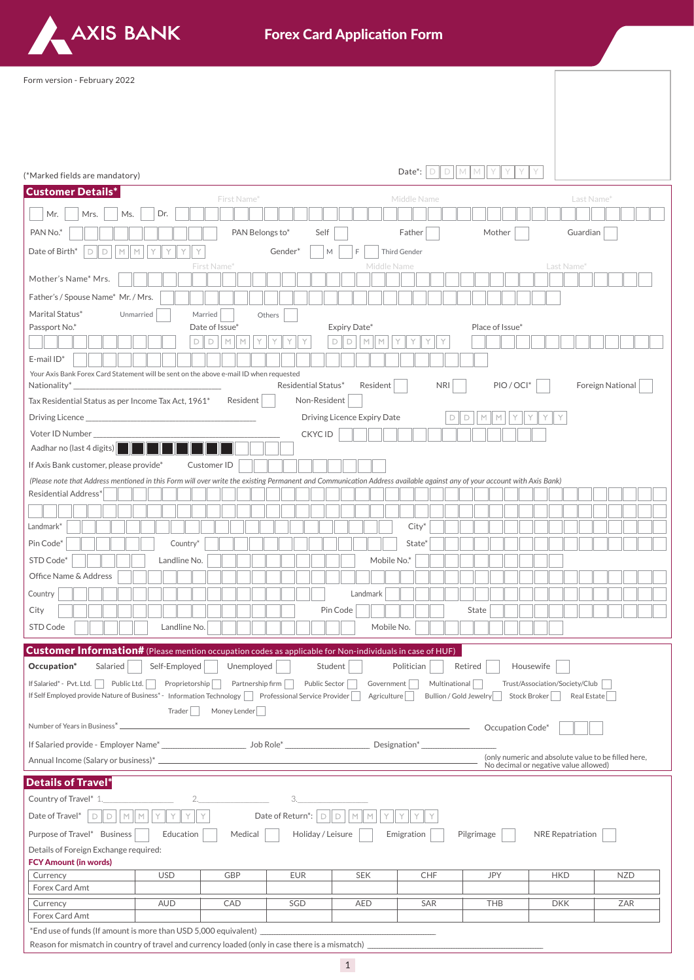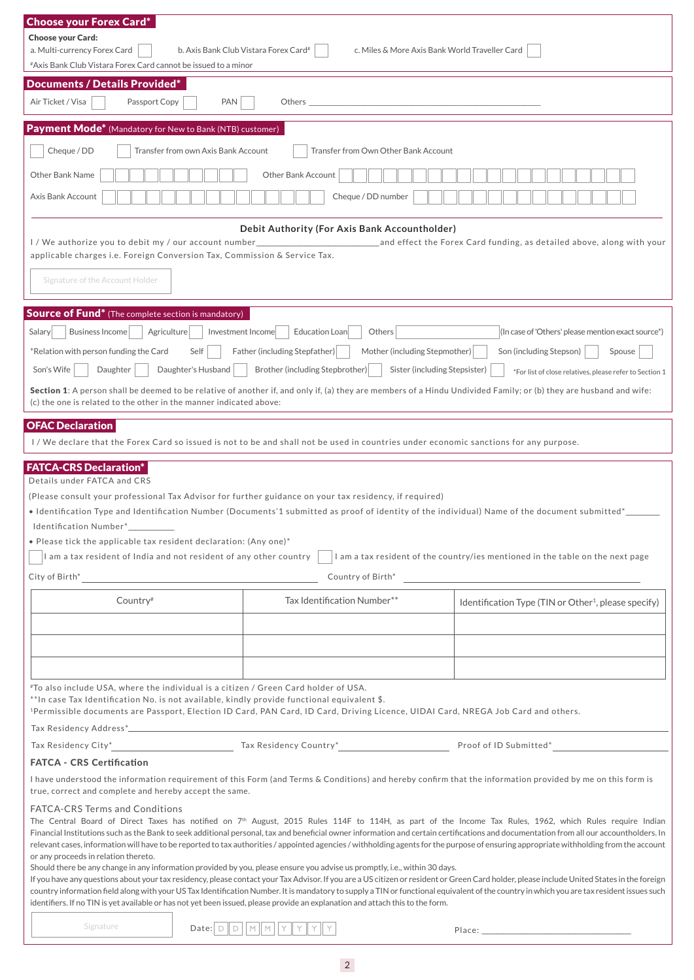| <b>Choose your Forex Card*</b>                                                                                                                                                                                                                 |                                                                                         |                                                                                                                                                                                                                                                                                                                                                                                         |
|------------------------------------------------------------------------------------------------------------------------------------------------------------------------------------------------------------------------------------------------|-----------------------------------------------------------------------------------------|-----------------------------------------------------------------------------------------------------------------------------------------------------------------------------------------------------------------------------------------------------------------------------------------------------------------------------------------------------------------------------------------|
| <b>Choose your Card:</b><br>a. Multi-currency Forex Card                                                                                                                                                                                       | b. Axis Bank Club Vistara Forex Card#<br>c. Miles & More Axis Bank World Traveller Card |                                                                                                                                                                                                                                                                                                                                                                                         |
| #Axis Bank Club Vistara Forex Card cannot be issued to a minor                                                                                                                                                                                 |                                                                                         |                                                                                                                                                                                                                                                                                                                                                                                         |
| <b>Documents / Details Provided*</b>                                                                                                                                                                                                           |                                                                                         |                                                                                                                                                                                                                                                                                                                                                                                         |
| Air Ticket / Visa<br>Passport Copy<br>PAN                                                                                                                                                                                                      |                                                                                         |                                                                                                                                                                                                                                                                                                                                                                                         |
| <b>Payment Mode*</b> (Mandatory for New to Bank (NTB) customer)                                                                                                                                                                                |                                                                                         |                                                                                                                                                                                                                                                                                                                                                                                         |
| Cheque / DD<br>Transfer from own Axis Bank Account                                                                                                                                                                                             | Transfer from Own Other Bank Account                                                    |                                                                                                                                                                                                                                                                                                                                                                                         |
| Other Bank Name                                                                                                                                                                                                                                | Other Bank Account                                                                      |                                                                                                                                                                                                                                                                                                                                                                                         |
| Axis Bank Account                                                                                                                                                                                                                              | Cheque / DD number                                                                      |                                                                                                                                                                                                                                                                                                                                                                                         |
|                                                                                                                                                                                                                                                | Debit Authority (For Axis Bank Accountholder)                                           |                                                                                                                                                                                                                                                                                                                                                                                         |
| I / We authorize you to debit my / our account number<br>applicable charges i.e. Foreign Conversion Tax, Commission & Service Tax.                                                                                                             |                                                                                         | and effect the Forex Card funding, as detailed above, along with your measured the Forex Card funding, as detailed above, along with your                                                                                                                                                                                                                                               |
|                                                                                                                                                                                                                                                |                                                                                         |                                                                                                                                                                                                                                                                                                                                                                                         |
| Signature of the Account Holder                                                                                                                                                                                                                |                                                                                         |                                                                                                                                                                                                                                                                                                                                                                                         |
| <b>Source of Fund*</b> (The complete section is mandatory)                                                                                                                                                                                     |                                                                                         |                                                                                                                                                                                                                                                                                                                                                                                         |
| Salary<br>Business Income<br>Agriculture                                                                                                                                                                                                       | Investment Income<br>Education Loan<br>Others                                           | (In case of 'Others' please mention exact source*)                                                                                                                                                                                                                                                                                                                                      |
| *Relation with person funding the Card<br>Self                                                                                                                                                                                                 | Father (including Stepfather)<br>Mother (including Stepmother)                          | Son (including Stepson)<br>Spouse                                                                                                                                                                                                                                                                                                                                                       |
| Son's Wife<br>Daughter<br>Daughter's Husband                                                                                                                                                                                                   | Brother (including Stepbrother)<br>Sister (including Stepsister)                        | *For list of close relatives, please refer to Section 1                                                                                                                                                                                                                                                                                                                                 |
| Section 1: A person shall be deemed to be relative of another if, and only if, (a) they are members of a Hindu Undivided Family; or (b) they are husband and wife:                                                                             |                                                                                         |                                                                                                                                                                                                                                                                                                                                                                                         |
| (c) the one is related to the other in the manner indicated above:                                                                                                                                                                             |                                                                                         |                                                                                                                                                                                                                                                                                                                                                                                         |
| <b>OFAC Declaration</b><br>I/We declare that the Forex Card so issued is not to be and shall not be used in countries under economic sanctions for any purpose.                                                                                |                                                                                         |                                                                                                                                                                                                                                                                                                                                                                                         |
|                                                                                                                                                                                                                                                |                                                                                         |                                                                                                                                                                                                                                                                                                                                                                                         |
| <b>FATCA-CRS Declaration*</b><br>Details under FATCA and CRS                                                                                                                                                                                   |                                                                                         |                                                                                                                                                                                                                                                                                                                                                                                         |
| (Please consult your professional Tax Advisor for further guidance on your tax residency, if required)                                                                                                                                         |                                                                                         |                                                                                                                                                                                                                                                                                                                                                                                         |
| • Identification Type and Identification Number (Documents'1 submitted as proof of identity of the individual) Name of the document submitted*_<br>Identification Number*                                                                      |                                                                                         |                                                                                                                                                                                                                                                                                                                                                                                         |
| • Please tick the applicable tax resident declaration: (Any one)*                                                                                                                                                                              |                                                                                         |                                                                                                                                                                                                                                                                                                                                                                                         |
| I am a tax resident of India and not resident of any other country                                                                                                                                                                             |                                                                                         | I am a tax resident of the country/ies mentioned in the table on the next page                                                                                                                                                                                                                                                                                                          |
| City of Birth*                                                                                                                                                                                                                                 | Country of Birth*                                                                       |                                                                                                                                                                                                                                                                                                                                                                                         |
| Country <sup>#</sup>                                                                                                                                                                                                                           | Tax Identification Number**                                                             |                                                                                                                                                                                                                                                                                                                                                                                         |
|                                                                                                                                                                                                                                                |                                                                                         | Identification Type (TIN or Other <sup>1</sup> , please specify)                                                                                                                                                                                                                                                                                                                        |
|                                                                                                                                                                                                                                                |                                                                                         |                                                                                                                                                                                                                                                                                                                                                                                         |
|                                                                                                                                                                                                                                                |                                                                                         |                                                                                                                                                                                                                                                                                                                                                                                         |
|                                                                                                                                                                                                                                                |                                                                                         |                                                                                                                                                                                                                                                                                                                                                                                         |
| #To also include USA, where the individual is a citizen / Green Card holder of USA.                                                                                                                                                            |                                                                                         |                                                                                                                                                                                                                                                                                                                                                                                         |
| $*$ ln case Tax Identification No. is not available, kindly provide functional equivalent \$.<br><sup>1</sup> Permissible documents are Passport, Election ID Card, PAN Card, ID Card, Driving Licence, UIDAI Card, NREGA Job Card and others. |                                                                                         |                                                                                                                                                                                                                                                                                                                                                                                         |
|                                                                                                                                                                                                                                                |                                                                                         |                                                                                                                                                                                                                                                                                                                                                                                         |
|                                                                                                                                                                                                                                                |                                                                                         |                                                                                                                                                                                                                                                                                                                                                                                         |
| <b>FATCA - CRS Certification</b>                                                                                                                                                                                                               |                                                                                         |                                                                                                                                                                                                                                                                                                                                                                                         |
| I have understood the information requirement of this Form (and Terms & Conditions) and hereby confirm that the information provided by me on this form is                                                                                     |                                                                                         |                                                                                                                                                                                                                                                                                                                                                                                         |
| true, correct and complete and hereby accept the same.                                                                                                                                                                                         |                                                                                         |                                                                                                                                                                                                                                                                                                                                                                                         |
| <b>FATCA-CRS Terms and Conditions</b>                                                                                                                                                                                                          |                                                                                         | The Central Board of Direct Taxes has notified on 7 <sup>th</sup> August, 2015 Rules 114F to 114H, as part of the Income Tax Rules, 1962, which Rules require Indian                                                                                                                                                                                                                    |
|                                                                                                                                                                                                                                                |                                                                                         | Financial Institutions such as the Bank to seek additional personal, tax and beneficial owner information and certain certifications and documentation from all our accountholders. In                                                                                                                                                                                                  |
| or any proceeds in relation thereto.                                                                                                                                                                                                           |                                                                                         | relevant cases, information will have to be reported to tax authorities / appointed agencies / withholding agents for the purpose of ensuring appropriate withholding from the account                                                                                                                                                                                                  |
| Should there be any change in any information provided by you, please ensure you advise us promptly, i.e., within 30 days.                                                                                                                     |                                                                                         |                                                                                                                                                                                                                                                                                                                                                                                         |
|                                                                                                                                                                                                                                                |                                                                                         | If you have any questions about your tax residency, please contact your Tax Advisor. If you are a US citizen or resident or Green Card holder, please include United States in the foreign<br>country information field along with your US Tax Identification Number. It is mandatory to supply a TIN or functional equivalent of the country in which you are tax resident issues such |
| identifiers. If no TIN is yet available or has not yet been issued, please provide an explanation and attach this to the form.                                                                                                                 |                                                                                         |                                                                                                                                                                                                                                                                                                                                                                                         |
| Signature<br>Date: $\Box$                                                                                                                                                                                                                      | $\mathbb M$<br>M                                                                        | Place: The contract of the contract of the contract of the contract of the contract of the contract of the contract of the contract of the contract of the contract of the contract of the contract of the contract of the con                                                                                                                                                          |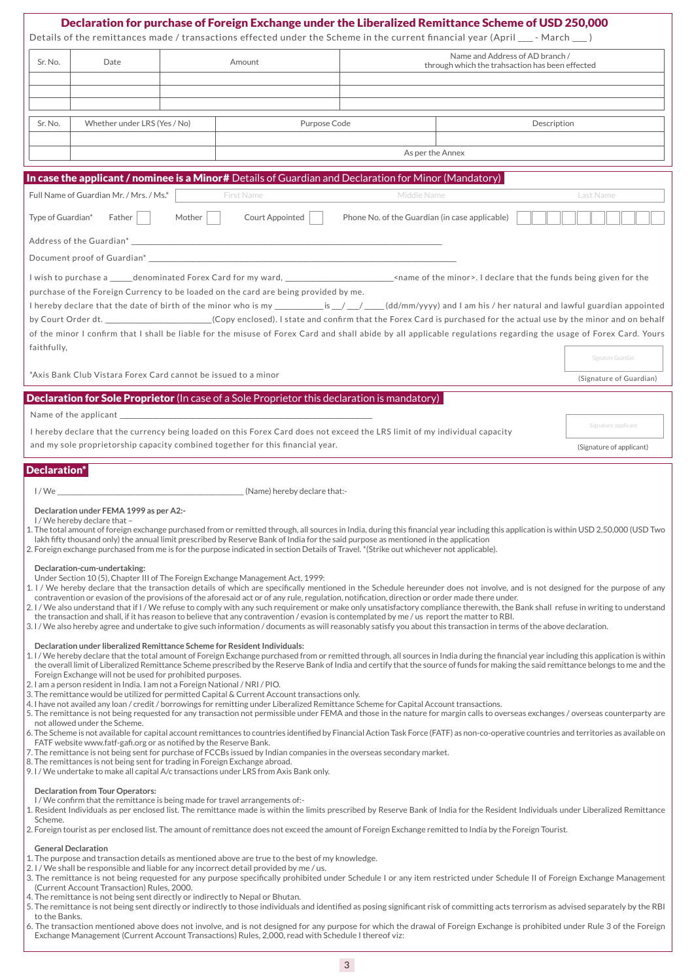|                   |                                                                                                                                                                                                                                                                                                                                                                                                                                                                                                                                                                                                                                                   |        |                                                                                                                                                                                                                                                                                                                                                                                                                                                                                                                                                                                                                                                                                                                                                                                                                                                                                                                                                                                                                                                                                                                                          |                                                | Declaration for purchase of Foreign Exchange under the Liberalized Remittance Scheme of USD 250,000<br>Details of the remittances made / transactions effected under the Scheme in the current financial year (April ___- March ___)                                                                                                                                                                                                                                                                                                                                                                                                                                                                                                                                                                                                                                                                                                                                                                                                                                                                                                                                                                                                                                                                                                                                                                                                                                                                                                                                                                                                                                                                   |                                                 |
|-------------------|---------------------------------------------------------------------------------------------------------------------------------------------------------------------------------------------------------------------------------------------------------------------------------------------------------------------------------------------------------------------------------------------------------------------------------------------------------------------------------------------------------------------------------------------------------------------------------------------------------------------------------------------------|--------|------------------------------------------------------------------------------------------------------------------------------------------------------------------------------------------------------------------------------------------------------------------------------------------------------------------------------------------------------------------------------------------------------------------------------------------------------------------------------------------------------------------------------------------------------------------------------------------------------------------------------------------------------------------------------------------------------------------------------------------------------------------------------------------------------------------------------------------------------------------------------------------------------------------------------------------------------------------------------------------------------------------------------------------------------------------------------------------------------------------------------------------|------------------------------------------------|--------------------------------------------------------------------------------------------------------------------------------------------------------------------------------------------------------------------------------------------------------------------------------------------------------------------------------------------------------------------------------------------------------------------------------------------------------------------------------------------------------------------------------------------------------------------------------------------------------------------------------------------------------------------------------------------------------------------------------------------------------------------------------------------------------------------------------------------------------------------------------------------------------------------------------------------------------------------------------------------------------------------------------------------------------------------------------------------------------------------------------------------------------------------------------------------------------------------------------------------------------------------------------------------------------------------------------------------------------------------------------------------------------------------------------------------------------------------------------------------------------------------------------------------------------------------------------------------------------------------------------------------------------------------------------------------------------|-------------------------------------------------|
| Sr. No.           | Date                                                                                                                                                                                                                                                                                                                                                                                                                                                                                                                                                                                                                                              |        | Amount                                                                                                                                                                                                                                                                                                                                                                                                                                                                                                                                                                                                                                                                                                                                                                                                                                                                                                                                                                                                                                                                                                                                   |                                                | Name and Address of AD branch /<br>through which the trahsaction has been effected                                                                                                                                                                                                                                                                                                                                                                                                                                                                                                                                                                                                                                                                                                                                                                                                                                                                                                                                                                                                                                                                                                                                                                                                                                                                                                                                                                                                                                                                                                                                                                                                                     |                                                 |
|                   |                                                                                                                                                                                                                                                                                                                                                                                                                                                                                                                                                                                                                                                   |        |                                                                                                                                                                                                                                                                                                                                                                                                                                                                                                                                                                                                                                                                                                                                                                                                                                                                                                                                                                                                                                                                                                                                          |                                                |                                                                                                                                                                                                                                                                                                                                                                                                                                                                                                                                                                                                                                                                                                                                                                                                                                                                                                                                                                                                                                                                                                                                                                                                                                                                                                                                                                                                                                                                                                                                                                                                                                                                                                        |                                                 |
| Sr. No.           | Whether under LRS (Yes / No)                                                                                                                                                                                                                                                                                                                                                                                                                                                                                                                                                                                                                      |        | Purpose Code                                                                                                                                                                                                                                                                                                                                                                                                                                                                                                                                                                                                                                                                                                                                                                                                                                                                                                                                                                                                                                                                                                                             |                                                | Description                                                                                                                                                                                                                                                                                                                                                                                                                                                                                                                                                                                                                                                                                                                                                                                                                                                                                                                                                                                                                                                                                                                                                                                                                                                                                                                                                                                                                                                                                                                                                                                                                                                                                            |                                                 |
|                   |                                                                                                                                                                                                                                                                                                                                                                                                                                                                                                                                                                                                                                                   |        |                                                                                                                                                                                                                                                                                                                                                                                                                                                                                                                                                                                                                                                                                                                                                                                                                                                                                                                                                                                                                                                                                                                                          |                                                |                                                                                                                                                                                                                                                                                                                                                                                                                                                                                                                                                                                                                                                                                                                                                                                                                                                                                                                                                                                                                                                                                                                                                                                                                                                                                                                                                                                                                                                                                                                                                                                                                                                                                                        |                                                 |
|                   |                                                                                                                                                                                                                                                                                                                                                                                                                                                                                                                                                                                                                                                   |        |                                                                                                                                                                                                                                                                                                                                                                                                                                                                                                                                                                                                                                                                                                                                                                                                                                                                                                                                                                                                                                                                                                                                          | As per the Annex                               |                                                                                                                                                                                                                                                                                                                                                                                                                                                                                                                                                                                                                                                                                                                                                                                                                                                                                                                                                                                                                                                                                                                                                                                                                                                                                                                                                                                                                                                                                                                                                                                                                                                                                                        |                                                 |
|                   | Full Name of Guardian Mr. / Mrs. / Ms.*                                                                                                                                                                                                                                                                                                                                                                                                                                                                                                                                                                                                           |        | In case the applicant / nominee is a Minor# Details of Guardian and Declaration for Minor (Mandatory)<br><b>First Name</b>                                                                                                                                                                                                                                                                                                                                                                                                                                                                                                                                                                                                                                                                                                                                                                                                                                                                                                                                                                                                               | Middle Name                                    |                                                                                                                                                                                                                                                                                                                                                                                                                                                                                                                                                                                                                                                                                                                                                                                                                                                                                                                                                                                                                                                                                                                                                                                                                                                                                                                                                                                                                                                                                                                                                                                                                                                                                                        | Last Name                                       |
| Type of Guardian* | $Father \mid \cdot \mid$                                                                                                                                                                                                                                                                                                                                                                                                                                                                                                                                                                                                                          | Mother | Court Appointed                                                                                                                                                                                                                                                                                                                                                                                                                                                                                                                                                                                                                                                                                                                                                                                                                                                                                                                                                                                                                                                                                                                          | Phone No. of the Guardian (in case applicable) |                                                                                                                                                                                                                                                                                                                                                                                                                                                                                                                                                                                                                                                                                                                                                                                                                                                                                                                                                                                                                                                                                                                                                                                                                                                                                                                                                                                                                                                                                                                                                                                                                                                                                                        |                                                 |
|                   |                                                                                                                                                                                                                                                                                                                                                                                                                                                                                                                                                                                                                                                   |        |                                                                                                                                                                                                                                                                                                                                                                                                                                                                                                                                                                                                                                                                                                                                                                                                                                                                                                                                                                                                                                                                                                                                          |                                                |                                                                                                                                                                                                                                                                                                                                                                                                                                                                                                                                                                                                                                                                                                                                                                                                                                                                                                                                                                                                                                                                                                                                                                                                                                                                                                                                                                                                                                                                                                                                                                                                                                                                                                        |                                                 |
|                   |                                                                                                                                                                                                                                                                                                                                                                                                                                                                                                                                                                                                                                                   |        |                                                                                                                                                                                                                                                                                                                                                                                                                                                                                                                                                                                                                                                                                                                                                                                                                                                                                                                                                                                                                                                                                                                                          |                                                |                                                                                                                                                                                                                                                                                                                                                                                                                                                                                                                                                                                                                                                                                                                                                                                                                                                                                                                                                                                                                                                                                                                                                                                                                                                                                                                                                                                                                                                                                                                                                                                                                                                                                                        |                                                 |
| faithfully,       | *Axis Bank Club Vistara Forex Card cannot be issued to a minor                                                                                                                                                                                                                                                                                                                                                                                                                                                                                                                                                                                    |        | purchase of the Foreign Currency to be loaded on the card are being provided by me.                                                                                                                                                                                                                                                                                                                                                                                                                                                                                                                                                                                                                                                                                                                                                                                                                                                                                                                                                                                                                                                      |                                                | by Court Order dt. __________________________(Copy enclosed). I state and confirm that the Forex Card is purchased for the actual use by the minor and on behalf<br>of the minor I confirm that I shall be liable for the misuse of Forex Card and shall abide by all applicable regulations regarding the usage of Forex Card. Yours                                                                                                                                                                                                                                                                                                                                                                                                                                                                                                                                                                                                                                                                                                                                                                                                                                                                                                                                                                                                                                                                                                                                                                                                                                                                                                                                                                  | Signature Guardian                              |
|                   |                                                                                                                                                                                                                                                                                                                                                                                                                                                                                                                                                                                                                                                   |        | <b>Declaration for Sole Proprietor</b> (In case of a Sole Proprietor this declaration is mandatory)                                                                                                                                                                                                                                                                                                                                                                                                                                                                                                                                                                                                                                                                                                                                                                                                                                                                                                                                                                                                                                      |                                                |                                                                                                                                                                                                                                                                                                                                                                                                                                                                                                                                                                                                                                                                                                                                                                                                                                                                                                                                                                                                                                                                                                                                                                                                                                                                                                                                                                                                                                                                                                                                                                                                                                                                                                        | (Signature of Guardian)                         |
|                   |                                                                                                                                                                                                                                                                                                                                                                                                                                                                                                                                                                                                                                                   |        | Name of the applicant experience of the state of the state of the state of the state of the state of the state of the state of the state of the state of the state of the state of the state of the state of the state of the<br>I hereby declare that the currency being loaded on this Forex Card does not exceed the LRS limit of my individual capacity<br>and my sole proprietorship capacity combined together for this financial year.                                                                                                                                                                                                                                                                                                                                                                                                                                                                                                                                                                                                                                                                                            |                                                |                                                                                                                                                                                                                                                                                                                                                                                                                                                                                                                                                                                                                                                                                                                                                                                                                                                                                                                                                                                                                                                                                                                                                                                                                                                                                                                                                                                                                                                                                                                                                                                                                                                                                                        | Signature applicant<br>(Signature of applicant) |
| l / We<br>Scheme. | Declaration under FEMA 1999 as per A2:-<br>I/We hereby declare that -<br>Declaration-cum-undertaking:<br>Declaration under liberalized Remittance Scheme for Resident Individuals:<br>Foreign Exchange will not be used for prohibited purposes.<br>2. I am a person resident in India. I am not a Foreign National / NRI / PIO.<br>not allowed under the Scheme.<br>FATF website www.fatf-gafi.org or as notified by the Reserve Bank.<br>8. The remittances is not being sent for trading in Foreign Exchange abroad.<br><b>Declaration from Tour Operators:</b><br>I/We confirm that the remittance is being made for travel arrangements of:- |        | lakh fifty thousand only) the annual limit prescribed by Reserve Bank of India for the said purpose as mentioned in the application<br>2. Foreign exchange purchased from me is for the purpose indicated in section Details of Travel. * (Strike out whichever not applicable).<br>Under Section 10 (5), Chapter III of The Foreign Exchange Management Act, 1999:<br>contravention or evasion of the provisions of the aforesaid act or of any rule, regulation, notification, direction or order made there under.<br>the transaction and shall, if it has reason to believe that any contravention / evasion is contemplated by me / us report the matter to RBI.<br>3. The remittance would be utilized for permitted Capital & Current Account transactions only.<br>4. I have not availed any loan / credit / borrowings for remitting under Liberalized Remittance Scheme for Capital Account transactions.<br>7. The remittance is not being sent for purchase of FCCBs issued by Indian companies in the overseas secondary market.<br>9. I / We undertake to make all capital A/c transactions under LRS from Axis Bank only. |                                                | 1. The total amount of foreign exchange purchased from or remitted through, all sources in India, during this financial year including this application is within USD 2,50,000 (USD Two<br>1. I / We hereby declare that the transaction details of which are specifically mentioned in the Schedule hereunder does not involve, and is not designed for the purpose of any<br>2. I/We also understand that if I/We refuse to comply with any such requirement or make only unsatisfactory compliance therewith, the Bank shall refuse in writing to understand<br>3. I/We also hereby agree and undertake to give such information/documents as will reasonably satisfy you about this transaction in terms of the above declaration.<br>1. I/We hereby declare that the total amount of Foreign Exchange purchased from or remitted through, all sources in India during the financial year including this application is within<br>the overall limit of Liberalized Remittance Scheme prescribed by the Reserve Bank of India and certify that the source of funds for making the said remittance belongs to me and the<br>5. The remittance is not being requested for any transaction not permissible under FEMA and those in the nature for margin calls to overseas exchanges / overseas counterparty are<br>6. The Scheme is not available for capital account remittances to countries identified by Financial Action Task Force (FATF) as non-co-operative countries and territories as available on<br>1. Resident Individuals as per enclosed list. The remittance made is within the limits prescribed by Reserve Bank of India for the Resident Individuals under Liberalized Remittance |                                                 |
| to the Banks.     | <b>General Declaration</b><br>(Current Account Transaction) Rules, 2000.<br>4. The remittance is not being sent directly or indirectly to Nepal or Bhutan.                                                                                                                                                                                                                                                                                                                                                                                                                                                                                        |        | 1. The purpose and transaction details as mentioned above are true to the best of my knowledge.<br>2. I / We shall be responsible and liable for any incorrect detail provided by me / us.                                                                                                                                                                                                                                                                                                                                                                                                                                                                                                                                                                                                                                                                                                                                                                                                                                                                                                                                               |                                                | 2. Foreign tourist as per enclosed list. The amount of remittance does not exceed the amount of Foreign Exchange remitted to India by the Foreign Tourist.<br>3. The remittance is not being requested for any purpose specifically prohibited under Schedule I or any item restricted under Schedule II of Foreign Exchange Management<br>5. The remittance is not being sent directly or indirectly to those individuals and identified as posing significant risk of committing acts terrorism as advised separately by the RBI<br>6. The transaction mentioned above does not involve, and is not designed for any purpose for which the drawal of Foreign Exchange is prohibited under Rule 3 of the Foreign                                                                                                                                                                                                                                                                                                                                                                                                                                                                                                                                                                                                                                                                                                                                                                                                                                                                                                                                                                                      |                                                 |

3

Exchange Management (Current Account Transactions) Rules, 2,000, read with Schedule I thereof viz: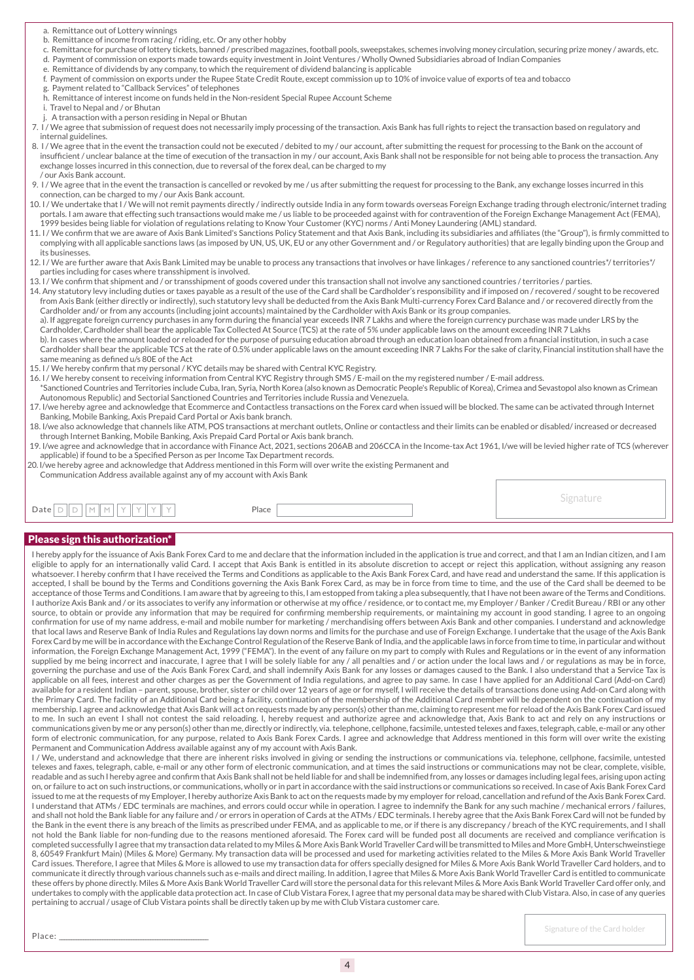- a. Remittance out of Lottery winnings
- b. Remittance of income from racing / riding, etc. Or any other hobby
- c. Remittance for purchase of lottery tickets, banned / prescribed magazines, football pools, sweepstakes, schemes involving money circulation, securing prize money / awards, etc. d. Payment of commission on exports made towards equity investment in Joint Ventures / Wholly Owned Subsidiaries abroad of Indian Companies
- e. Remittance of dividends by any company, to which the requirement of dividend balancing is applicable
- f. Payment of commission on exports under the Rupee State Credit Route, except commission up to 10% of invoice value of exports of tea and tobacco
- g. Payment related to "Callback Services" of telephones
- h. Remittance of interest income on funds held in the Non-resident Special Rupee Account Scheme
- i. Travel to Nepal and / or Bhutan
- A transaction with a person residing in Nepal or Bhutan
- 7. I / We agree that submission of request does not necessarily imply processing of the transaction. Axis Bank has full rights to reject the transaction based on regulatory and internal guidelines.
- 8. I/We agree that in the event the transaction could not be executed / debited to my/our account, after submitting the request for processing to the Bank on the account of insufficient / unclear balance at the time of execution of the transaction in my / our account, Axis Bank shall not be responsible for not being able to process the transaction. Any exchange losses incurred in this connection, due to reversal of the forex deal, can be charged to my / our Axis Bank account.
- 9. I / We agree that in the event the transaction is cancelled or revoked by me / us after submitting the request for processing to the Bank, any exchange losses incurred in this connection, can be charged to my / our Axis Bank account.
- 10. I / We undertake that I / We will not remit payments directly / indirectly outside India in any form towards overseas Foreign Exchange trading through electronic/internet trading portals. I am aware that effecting such transactions would make me / us liable to be proceeded against with for contravention of the Foreign Exchange Management Act (FEMA), 1999 besides being liable for violation of regulations relating to Know Your Customer (KYC) norms / Anti Money Laundering (AML) standard.
- 11. I / We confirm that we are aware of Axis Bank Limited's Sanctions Policy Statement and that Axis Bank, including its subsidiaries and affiliates (the "Group"), is firmly committed to complying with all applicable sanctions laws (as imposed by UN, US, UK, EU or any other Government and / or Regulatory authorities) that are legally binding upon the Group and its businesses.
- 12. I / We are further aware that Axis Bank Limited may be unable to process any transactions that involves or have linkages / reference to any sanctioned countries\*/ territories\*/ parties including for cases where transshipment is involved.
- 13. I / We confirm that shipment and / or transshipment of goods covered under this transaction shall not involve any sanctioned countries / territories / parties.
- 14. Any statutory levy including duties or taxes payable as a result of the use of the Card shall be Cardholder's responsibility and if imposed on / recovered / sought to be recovered from Axis Bank (either directly or indirectly), such statutory levy shall be deducted from the Axis Bank Multi-currency Forex Card Balance and / or recovered directly from the Cardholder and/ or from any accounts (including joint accounts) maintained by the Cardholder with Axis Bank or its group companies.
- a). If aggregate foreign currency purchases in any form during the financial year exceeds INR 7 Lakhs and where the foreign currency purchase was made under LRS by the Cardholder, Cardholder shall bear the applicable Tax Collected At Source (TCS) at the rate of 5% under applicable laws on the amount exceeding INR 7 Lakhs
- b). In cases where the amount loaded or reloaded for the purpose of pursuing education abroad through an education loan obtained from a financial institution, in such a case Cardholder shall bear the applicable TCS at the rate of 0.5% under applicable laws on the amount exceeding INR 7 Lakhs For the sake of clarity, Financial institution shall have the same meaning as defined u/s 80E of the Act
- 15. I / We hereby confirm that my personal / KYC details may be shared with Central KYC Registry.
- 16. I / We hereby consent to receiving information from Central KYC Registry through SMS / E-mail on the my registered number / E-mail address.
- \*Sanctioned Countries and Territories include Cuba, Iran, Syria, North Korea (also known as Democratic People's Republic of Korea), Crimea and Sevastopol also known as Crimean Autonomous Republic) and Sectorial Sanctioned Countries and Territories include Russia and Venezuela.
- 17. I/we hereby agree and acknowledge that Ecommerce and Contactless transactions on the Forex card when issued will be blocked. The same can be activated through Internet Banking, Mobile Banking, Axis Prepaid Card Portal or Axis bank branch.
- 18. I/we also acknowledge that channels like ATM, POS transactions at merchant outlets, Online or contactless and their limits can be enabled or disabled/ increased or decreased through Internet Banking, Mobile Banking, Axis Prepaid Card Portal or Axis bank branch.
- 19. I/we agree and acknowledge that in accordance with Finance Act, 2021, sections 206AB and 206CCA in the Income-tax Act 1961, I/we will be levied higher rate of TCS (wherever applicable) if found to be a Specified Person as per Income Tax Department records.
- 20. I/we hereby agree and acknowledge that Address mentioned in this Form will over write the existing Permanent and Communication Address available against any of my account with Axis Bank

Date Place

Please sign this authorization\* I hereby apply for the issuance of Axis Bank Forex Card to me and declare that the information included in the application is true and correct, and that I am an Indian citizen, and I am eligible to apply for an internationally valid Card. I accept that Axis Bank is entitled in its absolute discretion to accept or reject this application, without assigning any reason whatsoever. I hereby confirm that I have received the Terms and Conditions as applicable to the Axis Bank Forex Card, and have read and understand the same. If this application is accepted, I shall be bound by the Terms and Conditions governing the Axis Bank Forex Card, as may be in force from time to time, and the use of the Card shall be deemed to be acceptance of those Terms and Conditions. I am aware that by agreeing to this, I am estopped from taking a plea subsequently, that I have not been aware of the Terms and Conditions. I authorize Axis Bank and / or its associates to verify any information or otherwise at my office / residence, or to contact me, my Employer / Banker / Credit Bureau / RBI or any other source, to obtain or provide any information that may be required for confirming membership requirements, or maintaining my account in good standing. I agree to an ongoing confirmation for use of my name address, e-mail and mobile number for marketing / merchandising offers between Axis Bank and other companies. I understand and acknowledge that local laws and Reserve Bank of India Rules and Regulations lay down norms and limits for the purchase and use of Foreign Exchange. I undertake that the usage of the Axis Bank Forex Card by me will be in accordance with the Exchange Control Regulation of the Reserve Bank of India, and the applicable laws in force from time to time, in particular and without information, the Foreign Exchange Management Act, 1999 ("FEMA"). In the event of any failure on my part to comply with Rules and Regulations or in the event of any information supplied by me being incorrect and inaccurate, I agree that I will be solely liable for any / all penalties and / or action under the local laws and / or regulations as may be in force, governing the purchase and use of the Axis Bank Forex Card, and shall indemnify Axis Bank for any losses or damages caused to the Bank. I also understand that a Service Tax is applicable on all fees, interest and other charges as per the Government of India regulations, and agree to pay same. In case I have applied for an Additional Card (Add-on Card) available for a resident Indian – parent, spouse, brother, sister or child over 12 years of age or for myself, I will receive the details of transactions done using Add-on Card along with the Primary Card. The facility of an Additional Card being a facility, continuation of the membership of the Additional Card member will be dependent on the continuation of my membership. I agree and acknowledge that Axis Bank will act on requests made by any person(s) other than me, claiming to represent me for reload of the Axis Bank Forex Card issued to me. In such an event I shall not contest the said reloading. I, hereby request and authorize agree and acknowledge that, Axis Bank to act and rely on any instructions or communications given by me or any person(s) other than me, directly or indirectly, via. telephone, cellphone, facsimile, untested telexes and faxes, telegraph, cable, e-mail or any other form of electronic communication, for any purpose, related to Axis Bank Forex Cards. I agree and acknowledge that Address mentioned in this form will over write the existing Permanent and Communication Address available against any of my account with Axis Bank.

I / We, understand and acknowledge that there are inherent risks involved in giving or sending the instructions or communications via. telephone, cellphone, facsimile, untested telexes and faxes, telegraph, cable, e-mail or any other form of electronic communication, and at times the said instructions or communications may not be clear, complete, visible, readable and as such I hereby agree and confirm that Axis Bank shall not be held liable for and shall be indemnified from, any losses or damages including legal fees, arising upon acting on, or failure to act on such instructions, or communications, wholly or in part in accordance with the said instructions or communications so received. In case of Axis Bank Forex Card issued to me at the requests of my Employer, I hereby authorize Axis Bank to act on the requests made by my employer for reload, cancellation and refund of the Axis Bank Forex Card. I understand that ATMs / EDC terminals are machines, and errors could occur while in operation. I agree to indemnify the Bank for any such machine / mechanical errors / failures, and shall not hold the Bank liable for any failure and / or errors in operation of Cards at the ATMs / EDC terminals. I hereby agree that the Axis Bank Forex Card will not be funded by the Bank in the event there is any breach of the limits as prescribed under FEMA, and as applicable to me, or if there is any discrepancy / breach of the KYC requirements, and I shall not hold the Bank liable for non-funding due to the reasons mentioned aforesaid. The Forex card will be funded post all documents are received and compliance verification is completed successfully I agree that my transaction data related to my Miles & More Axis Bank World Traveller Card will be transmitted to Miles and More GmbH, Unterschweinstiege 8, 60549 Frankfurt Main) (Miles & More) Germany. My transaction data will be processed and used for marketing activities related to the Miles & More Axis Bank World Traveller Card issues. Therefore, I agree that Miles & More is allowed to use my transaction data for offers specially designed for Miles & More Axis Bank World Traveller Card holders, and to communicate it directly through various channels such as e-mails and direct mailing. In addition, I agree that Miles & More Axis Bank World Traveller Card is entitled to communicate these offers by phone directly. Miles & More Axis Bank World Traveller Card will store the personal data for this relevant Miles & More Axis Bank World Traveller Card offer only, and undertakes to comply with the applicable data protection act. In case of Club Vistara Forex, I agree that my personal data may be shared with Club Vistara. Also, in case of any queries pertaining to accrual / usage of Club Vistara points shall be directly taken up by me with Club Vistara customer care.

Signature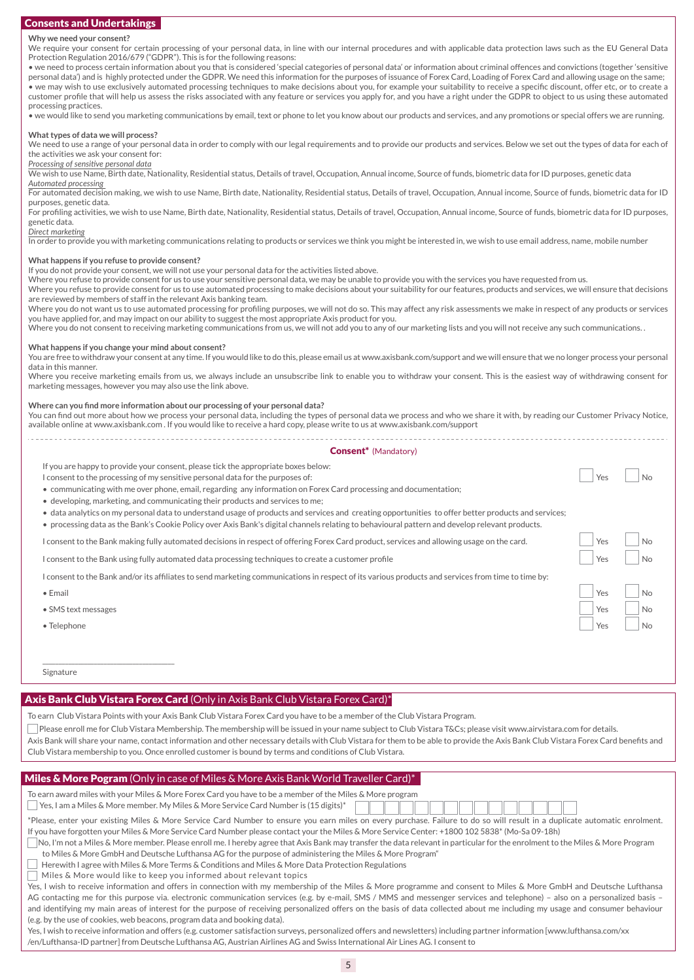# Consents and Undertakings

### **Why we need your consent?**

We require your consent for certain processing of your personal data, in line with our internal procedures and with applicable data protection laws such as the EU General Data Protection Regulation 2016/679 ("GDPR"). This is for the following reasons:

• we need to process certain information about you that is considered 'special categories of personal data' or information about criminal offences and convictions (together 'sensitive personal data') and is highly protected under the GDPR. We need this information for the purposes of issuance of Forex Card, Loading of Forex Card and allowing usage on the same; • we may wish to use exclusively automated processing techniques to make decisions about you, for example your suitability to receive a specific discount, offer etc, or to create a customer profile that will help us assess the risks associated with any feature or services you apply for, and you have a right under the GDPR to object to us using these automated processing practices.

• we would like to send you marketing communications by email, text or phone to let you know about our products and services, and any promotions or special offers we are running.

### **What types of data we will process?**

We need to use a range of your personal data in order to comply with our legal requirements and to provide our products and services. Below we set out the types of data for each of the activities we ask your consent for:

# *Processing of sensitive personal data*

We wish to use Name, Birth date, Nationality, Residential status, Details of travel, Occupation, Annual income, Source of funds, biometric data for ID purposes, genetic data *Automated processing* 

For automated decision making, we wish to use Name, Birth date, Nationality, Residential status, Details of travel, Occupation, Annual income, Source of funds, biometric data for ID purposes, genetic data.

For profiling activities, we wish to use Name, Birth date, Nationality, Residential status, Details of travel, Occupation, Annual income, Source of funds, biometric data for ID purposes, genetic data.

### *Direct marketing*

In order to provide you with marketing communications relating to products or services we think you might be interested in, we wish to use email address, name, mobile number

### **What happens if you refuse to provide consent?**

If you do not provide your consent, we will not use your personal data for the activities listed above.

Where you refuse to provide consent for us to use your sensitive personal data, we may be unable to provide you with the services you have requested from us.

Where you refuse to provide consent for us to use automated processing to make decisions about your suitability for our features, products and services, we will ensure that decisions are reviewed by members of staff in the relevant Axis banking team.

Where you do not want us to use automated processing for profiling purposes, we will not do so. This may affect any risk assessments we make in respect of any products or services you have applied for, and may impact on our ability to suggest the most appropriate Axis product for you.

Where you do not consent to receiving marketing communications from us, we will not add you to any of our marketing lists and you will not receive any such communications. .

### **What happens if you change your mind about consent?**

You are free to withdraw your consent at any time. If you would like to do this, please email us at www.axisbank.com/support and we will ensure that we no longer process your personal data in this manner.

Where you receive marketing emails from us, we always include an unsubscribe link to enable you to withdraw your consent. This is the easiest way of withdrawing consent for marketing messages, however you may also use the link above.

### **Where can you find more information about our processing of your personal data?**

You can find out more about how we process your personal data, including the types of personal data we process and who we share it with, by reading our Customer Privacy Notice, available online at www.axisbank.com . If you would like to receive a hard copy, please write to us at www.axisbank.com/support

|                             | <b>Consent</b> * (Mandatory) |
|-----------------------------|------------------------------|
| he annronriate hoxes helow: |                              |

 $\left| \begin{array}{c} \n\text{Yes} \\
\end{array} \right|$  No

 $Y_{PS}$   $\vert$   $\vert$   $N_{\Omega}$  $V_{PS}$   $\vert$   $\vert$  No Yes No

 $\overline{N}$  $\overline{\phantom{a}}$ No

If you are happy to provide your consent, please tick the appropriate boxes b

I consent to the processing of my sensitive personal data for the purposes of:

• communicating with me over phone, email, regarding any information on Forex Card processing and documentation;

• developing, marketing, and communicating their products and services to me;

• data analytics on my personal data to understand usage of products and services and creating opportunities to offer better products and services;

• processing data as the Bank's Cookie Policy over Axis Bank's digital channels relating to behavioural pattern and develop relevant products.

I consent to the Bank making fully automated decisions in respect of offering Forex Card product, services and allowing usage on the card.

I consent to the Bank using fully automated data processing techniques to create a customer profile

I consent to the Bank and/or its affiliates to send marketing communications in respect of its various products and services from time to time by:

- Email
- SMS text messages

\_\_\_\_\_\_\_\_\_\_\_\_\_\_\_\_\_\_\_\_\_\_\_\_\_\_\_\_\_\_\_\_\_\_\_\_\_\_\_\_\_

• Telephone

Signature

## Axis Bank Club Vistara Forex Card (Only in Axis Bank Club Vistara Forex Card)\*

To earn Club Vistara Points with your Axis Bank Club Vistara Forex Card you have to be a member of the Club Vistara Program.

 $\Box$  Please enroll me for Club Vistara Membership. The membership will be issued in your name subject to Club Vistara T&Cs; please visit www.airvistara.com for details. Axis Bank will share your name, contact information and other necessary details with Club Vistara for them to be able to provide the Axis Bank Club Vistara Forex Card benefits and Club Vistara membership to you. Once enrolled customer is bound by terms and conditions of Club Vistara.

# Miles & More Pogram (Only in case of Miles & More Axis Bank World Traveller Card)\*

| To earn award miles with your Miles & More Forex Card you have to be a member of the Miles & More program |  |  |  |  |  |  |  |  |
|-----------------------------------------------------------------------------------------------------------|--|--|--|--|--|--|--|--|
| Ses, I am a Miles & More member. My Miles & More Service Card Number is (15 digits)*                      |  |  |  |  |  |  |  |  |

| *Please, enter your existing Miles & More Service Card Number to ensure you earn miles on every purchase. Failure to do so will result in a duplicate automatic enrolment |
|---------------------------------------------------------------------------------------------------------------------------------------------------------------------------|
| If you have forgotten your Miles & More Service Card Number please contact your the Miles & More Service Center: +1800 102 5838* (Mo-Sa 09-18h)                           |

| No, I'm not a Miles & More member. Please enroll me. I hereby agree that Axis Bank may transfer the data relevant in particular for the enrolment to the Miles & More Program [16] No, I'm not a Miles & More Program |
|-----------------------------------------------------------------------------------------------------------------------------------------------------------------------------------------------------------------------|
| to Miles & More GmbH and Deutsche Lufthansa AG for the purpose of administering the Miles & More Program"                                                                                                             |

 $\Box$  Herewith I agree with Miles & More Terms & Conditions and Miles & More Data Protection Regulations

 $\exists$  Miles & More would like to keep you informed about relevant topics

Yes, I wish to receive information and offers in connection with my membership of the Miles & More programme and consent to Miles & More GmbH and Deutsche Lufthansa AG contacting me for this purpose via. electronic communication services (e.g. by e-mail, SMS / MMS and messenger services and telephone) – also on a personalized basis – and identifying my main areas of interest for the purpose of receiving personalized offers on the basis of data collected about me including my usage and consumer behaviour (e.g. by the use of cookies, web beacons, program data and booking data).

Yes, I wish to receive information and offers (e.g. customer satisfaction surveys, personalized offers and newsletters) including partner information [www.lufthansa.com/xx /en/Lufthansa-ID partner] from Deutsche Lufthansa AG, Austrian Airlines AG and Swiss International Air Lines AG. I consent to

5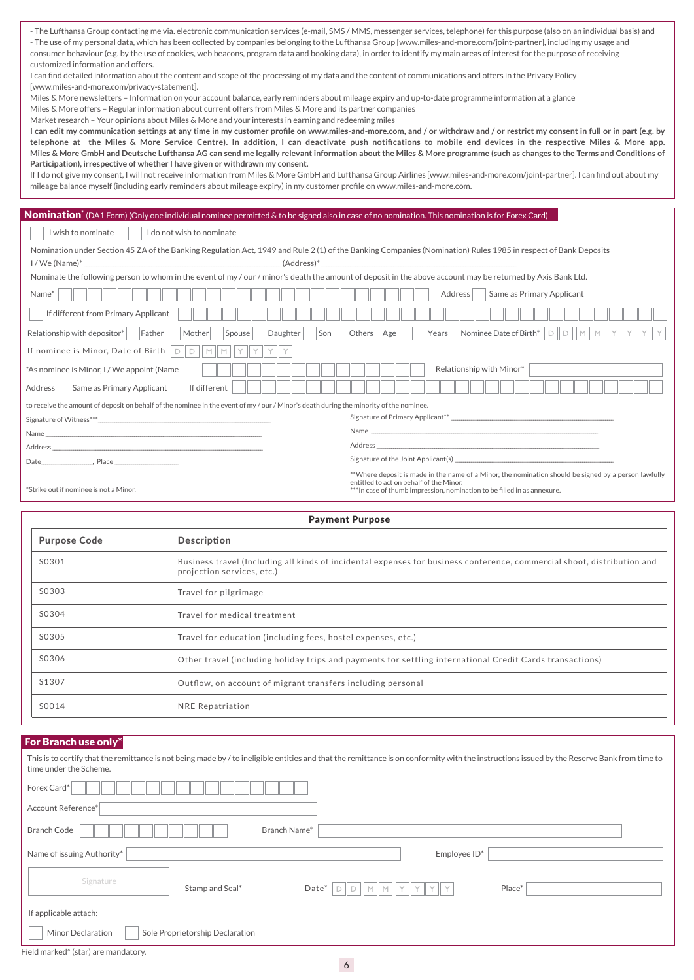- The Lufthansa Group contacting me via. electronic communication services (e-mail, SMS / MMS, messenger services, telephone) for this purpose (also on an individual basis) and - The use of my personal data, which has been collected by companies belonging to the Lufthansa Group [www.miles-and-more.com/joint-partner], including my usage and consumer behaviour (e.g. by the use of cookies, web beacons, program data and booking data), in order to identify my main areas of interest for the purpose of receiving customized information and offers.

I can find detailed information about the content and scope of the processing of my data and the content of communications and offers in the Privacy Policy [www.miles-and-more.com/privacy-statement].

Miles & More newsletters – Information on your account balance, early reminders about mileage expiry and up-to-date programme information at a glance

Miles & More offers – Regular information about current offers from Miles & More and its partner companies

Market research – Your opinions about Miles & More and your interests in earning and redeeming miles

**I can edit my communication settings at any time in my customer profile on www.miles-and-more.com, and / or withdraw and / or restrict my consent in full or in part (e.g. by telephone at the Miles & More Service Centre). In addition, I can deactivate push notifications to mobile end devices in the respective Miles & More app. Miles & More GmbH and Deutsche Lufthansa AG can send me legally relevant information about the Miles & More programme (such as changes to the Terms and Conditions of Participation), irrespective of whether I have given or withdrawn my consent.**

If I do not give my consent, I will not receive information from Miles & More GmbH and Lufthansa Group Airlines [www.miles-and-more.com/joint-partner]. I can find out about my mileage balance myself (including early reminders about mileage expiry) in my customer profile on www.miles-and-more.com.

# Nomination<sup>\*</sup> (DA1 Form) (Only one individual nominee permitted & to be signed also in case of no nomination. This nomination is for Forex Card)

I wish to nominate I do not wish to nominate

Nomination under Section 45 ZA of the Banking Regulation Act, 1949 and Rule 2 (1) of the Banking Companies (Nomination) Rules 1985 in respect of Bank Deposits  $I/We$  (Address)\*  $(Address)^*$ 

| Nominate the following person to whom in the event of my / our / minor's death the amount of deposit in the above account may be returned by Axis Bank Ltd. |  |
|-------------------------------------------------------------------------------------------------------------------------------------------------------------|--|
|                                                                                                                                                             |  |

| Name*                                                                                                                              | Same as Primary Applicant<br>Address |
|------------------------------------------------------------------------------------------------------------------------------------|--------------------------------------|
| If different from Primary Applicant                                                                                                |                                      |
| Relationship with depositor*<br>Father<br>Daughter<br>Mother<br>Spouse<br>Son                                                      | Others Age<br>Years                  |
| If nominee is Minor, Date of Birth<br>$DIDIMIMIYIY$                                                                                |                                      |
| *As nominee is Minor, I / We appoint (Name                                                                                         | Relationship with Minor*             |
| Same as Primary Applicant<br>If different<br>Address                                                                               |                                      |
| to receive the amount of deposit on behalf of the nominee in the event of my/our/Minor's death during the minority of the nominee. |                                      |
|                                                                                                                                    |                                      |
|                                                                                                                                    |                                      |
|                                                                                                                                    |                                      |
|                                                                                                                                    |                                      |

\*\*Where deposit is made in the name of a Minor, the nomination should be signed by a person lawfully entitled to act on behalf of the Minor.<br>\*Strike out if nominee is not a Minor. \*\*\*\*In case of thumb impression, nomination to be filled in as annexure.<br>\*\*\*In case of thumb impression, nomination to be filled in as annexure

|                     | <b>Payment Purpose</b>                                                                                                                                |
|---------------------|-------------------------------------------------------------------------------------------------------------------------------------------------------|
| <b>Purpose Code</b> | Description                                                                                                                                           |
| S0301               | Business travel (Including all kinds of incidental expenses for business conference, commercial shoot, distribution and<br>projection services, etc.) |
| S0303               | Travel for pilgrimage                                                                                                                                 |
| S0304               | Travel for medical treatment                                                                                                                          |
| S0305               | Travel for education (including fees, hostel expenses, etc.)                                                                                          |
| S0306               | Other travel (including holiday trips and payments for settling international Credit Cards transactions)                                              |
| S1307               | Outflow, on account of migrant transfers including personal                                                                                           |
| S0014               | NRE Repatriation                                                                                                                                      |

# For Branch use only\*

| This is to certify that the remittance is not being made by / to ineligible entities and that the remittance is on conformity with the instructions issued by the Reserve Bank from time to<br>time under the Scheme. |
|-----------------------------------------------------------------------------------------------------------------------------------------------------------------------------------------------------------------------|
| Forex Card*                                                                                                                                                                                                           |
| Account Reference*                                                                                                                                                                                                    |
| Branch Name*<br><b>Branch Code</b>                                                                                                                                                                                    |
| Name of issuing Authority*<br>Employee ID*                                                                                                                                                                            |
| Signature<br>Stamp and Seal*<br>Place*<br>Date*<br>M                                                                                                                                                                  |
| If applicable attach:                                                                                                                                                                                                 |
| Minor Declaration<br>Sole Proprietorship Declaration                                                                                                                                                                  |
| Field marked* (star) are mandatory.                                                                                                                                                                                   |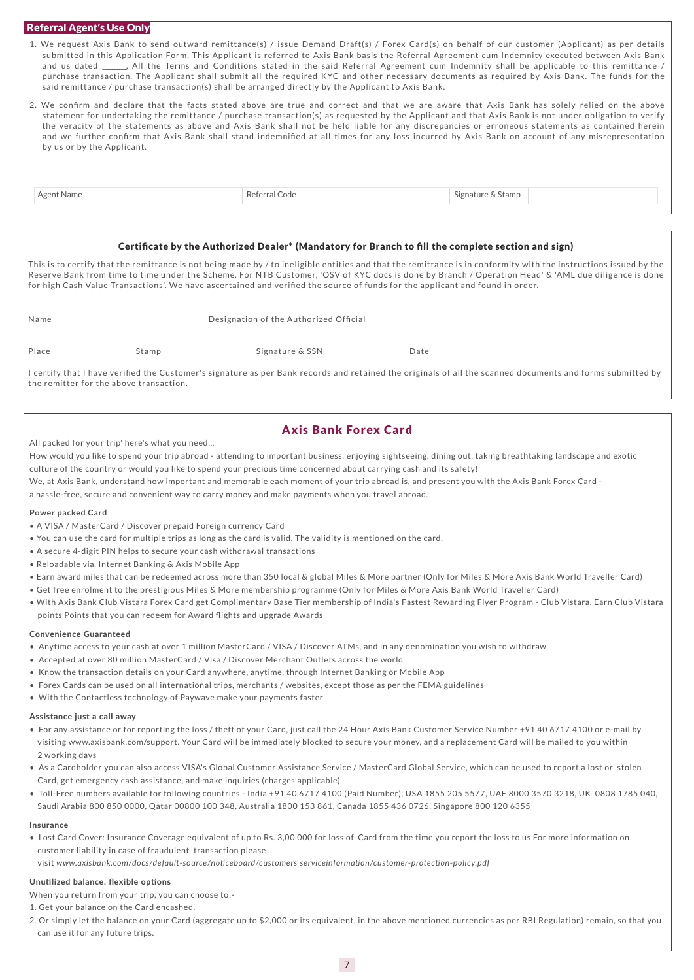# Referral Agent's Use Only

- 1. We request Axis Bank to send outward remittance(s) / issue Demand Draft(s) / Forex Card(s) on behalf of our customer (Applicant) as per details submitted in this Application Form. This Applicant is referred to Axis Bank basis the Referral Agreement cum Indemnity executed between Axis Bank and us dated \_\_\_\_\_\_\_. All the Terms and Conditions stated in the said Referral Agreement cum Indemnity shall be applicable to this remittance / purchase transaction. The Applicant shall submit all the required KYC and other necessary documents as required by Axis Bank. The funds for the said remittance / purchase transaction(s) shall be arranged directly by the Applicant to Axis Bank.
- 2. We confirm and declare that the facts stated above are true and correct and that we are aware that Axis Bank has solely relied on the above statement for undertaking the remittance / purchase transaction(s) as requested by the Applicant and that Axis Bank is not under obligation to verify the veracity of the statements as above and Axis Bank shall not be held liable for any discrepancies or erroneous statements as contained herein and we further confirm that Axis Bank shall stand indemnified at all times for any loss incurred by Axis Bank on account of any misrepresentation by us or by the Applicant.

| 'ame<br>amp<br>eno.<br>the contract of the contract of the contract of the contract of the contract of the contract of the contract of |
|----------------------------------------------------------------------------------------------------------------------------------------|
|----------------------------------------------------------------------------------------------------------------------------------------|

# Certificate by the Authorized Dealer\* (Mandatory for Branch to fill the complete section and sign)

This is to certify that the remittance is not being made by / to ineligible entities and that the remittance is in conformity with the instructions issued by the Reserve Bank from time to time under the Scheme. For NTB Customer, 'OSV of KYC docs is done by Branch / Operation Head' & 'AML due diligence is done for high Cash Value Transactions'. We have ascertained and verified the source of funds for the applicant and found in order.

| Name  |       | Designation of the Authorized Official |       |  |  |  |  |
|-------|-------|----------------------------------------|-------|--|--|--|--|
| Place | Stamp | Signature & SSN                        | ⊿† ב( |  |  |  |  |

I certify that I have verified the Customer's signature as per Bank records and retained the originals of all the scanned documents and forms submitted by the remitter for the above transaction.

# Axis Bank Forex Card

All packed for your trip' here's what you need…

How would you like to spend your trip abroad - attending to important business, enjoying sightseeing, dining out, taking breathtaking landscape and exotic culture of the country or would you like to spend your precious time concerned about carrying cash and its safety!

- We, at Axis Bank, understand how important and memorable each moment of your trip abroad is, and present you with the Axis Bank Forex Card -
- a hassle-free, secure and convenient way to carry money and make payments when you travel abroad.

### **Power packed Card**

- A VISA / MasterCard / Discover prepaid Foreign currency Card
- You can use the card for multiple trips as long as the card is valid. The validity is mentioned on the card.
- A secure 4-digit PIN helps to secure your cash withdrawal transactions
- Reloadable via. Internet Banking & Axis Mobile App
- Earn award miles that can be redeemed across more than 350 local & global Miles & More partner (Only for Miles & More Axis Bank World Traveller Card)
- Get free enrolment to the prestigious Miles & More membership programme (Only for Miles & More Axis Bank World Traveller Card)
- With Axis Bank Club Vistara Forex Card get Complimentary Base Tier membership of India's Fastest Rewarding Flyer Program Club Vistara. Earn Club Vistara points Points that you can redeem for Award flights and upgrade Awards

### Convenience Guaranteed

- Anytime access to your cash at over 1 million MasterCard / VISA / Discover ATMs, and in any denomination you wish to withdraw
- Accepted at over 80 million MasterCard / Visa / Discover Merchant Outlets across the world
- Know the transaction details on your Card anywhere, anytime, through Internet Banking or Mobile App
- Forex Cards can be used on all international trips, merchants / websites, except those as per the FEMA guidelines
- With the Contactless technology of Paywave make your payments faster

### Assistance just a call away

- For any assistance or for reporting the loss / theft of your Card, just call the 24 Hour Axis Bank Customer Service Number +91 40 6717 4100 or e-mail by visiting www.axisbank.com/support. Your Card will be immediately blocked to secure your money, and a replacement Card will be mailed to you within 2 working days
- As a Cardholder you can also access VISA's Global Customer Assistance Service / MasterCard Global Service, which can be used to report a lost or stolen Card, get emergency cash assistance, and make inquiries (charges applicable)
- Toll-Free numbers available for following countries India +91 40 6717 4100 (Paid Number), USA 1855 205 5577, UAE 8000 3570 3218, UK 0808 1785 040, Saudi Arabia 800 850 0000, Qatar 00800 100 348, Australia 1800 153 861, Canada 1855 436 0726, Singapore 800 120 6355

### Insurance

• Lost Card Cover: Insurance Coverage equivalent of up to Rs. 3,00,000 for loss of Card from the time you report the loss to us For more information on customer liability in case of fraudulent transaction please

visit *www.axisbank.com/docs/default-source/noticeboard/customers serviceinformation/customer-protection-policy.pdf*

### Unutilized balance. flexible options

When you return from your trip, you can choose to:-

- 1. Get your balance on the Card encashed.
- 2. Or simply let the balance on your Card (aggregate up to \$2,000 or its equivalent, in the above mentioned currencies as per RBI Regulation) remain, so that you can use it for any future trips.